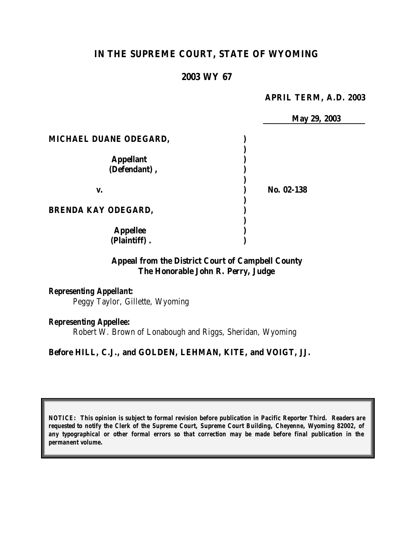# **IN THE SUPREME COURT, STATE OF WYOMING**

#### **2003 WY 67**

#### **APRIL TERM, A.D. 2003**

|                            | May 29, 2003 |  |
|----------------------------|--------------|--|
| MICHAEL DUANE ODEGARD,     |              |  |
|                            |              |  |
| <b>Appellant</b>           |              |  |
| (Defendant),               |              |  |
| V.                         | No. 02-138   |  |
| <b>BRENDA KAY ODEGARD,</b> |              |  |
| <b>Appellee</b>            |              |  |
| (Plaintiff).               |              |  |

### **Appeal from the District Court of Campbell County The Honorable John R. Perry, Judge**

### *Representing Appellant:*

Peggy Taylor, Gillette, Wyoming

#### *Representing Appellee:*

Robert W. Brown of Lonabough and Riggs, Sheridan, Wyoming

#### **Before HILL, C.J., and GOLDEN, LEHMAN, KITE, and VOIGT, JJ.**

*NOTICE: This opinion is subject to formal revision before publication in Pacific Reporter Third. Readers are requested to notify the Clerk of the Supreme Court, Supreme Court Building, Cheyenne, Wyoming 82002, of any typographical or other formal errors so that correction may be made before final publication in the permanent volume.*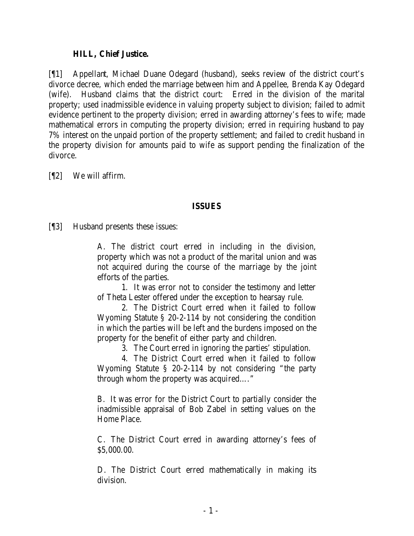#### **HILL, Chief Justice.**

[¶1] Appellant, Michael Duane Odegard (husband), seeks review of the district court's divorce decree, which ended the marriage between him and Appellee, Brenda Kay Odegard (wife). Husband claims that the district court: Erred in the division of the marital property; used inadmissible evidence in valuing property subject to division; failed to admit evidence pertinent to the property division; erred in awarding attorney's fees to wife; made mathematical errors in computing the property division; erred in requiring husband to pay 7% interest on the unpaid portion of the property settlement; and failed to credit husband in the property division for amounts paid to wife as support pending the finalization of the divorce.

[¶2] We will affirm.

### **ISSUES**

[¶3] Husband presents these issues:

A. The district court erred in including in the division, property which was not a product of the marital union and was not acquired during the course of the marriage by the joint efforts of the parties.

1. It was error not to consider the testimony and letter of Theta Lester offered under the exception to hearsay rule.

2. The District Court erred when it failed to follow Wyoming Statute § 20-2-114 by not considering the condition in which the parties will be left and the burdens imposed on the property for the benefit of either party and children.

3. The Court erred in ignoring the parties' stipulation.

4. The District Court erred when it failed to follow Wyoming Statute § 20-2-114 by not considering "the party through whom the property was acquired…."

B. It was error for the District Court to partially consider the inadmissible appraisal of Bob Zabel in setting values on the Home Place.

C. The District Court erred in awarding attorney's fees of \$5,000.00.

D. The District Court erred mathematically in making its division.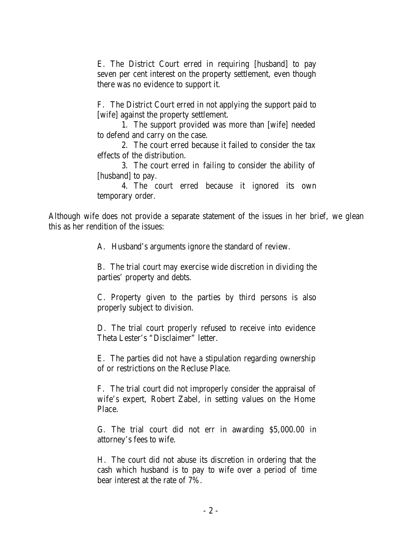E. The District Court erred in requiring [husband] to pay seven per cent interest on the property settlement, even though there was no evidence to support it.

F. The District Court erred in not applying the support paid to [wife] against the property settlement.

1. The support provided was more than [wife] needed to defend and carry on the case.

2. The court erred because it failed to consider the tax effects of the distribution.

3. The court erred in failing to consider the ability of [husband] to pay.

4. The court erred because it ignored its own temporary order.

Although wife does not provide a separate statement of the issues in her brief, we glean this as her rendition of the issues:

A. Husband's arguments ignore the standard of review.

B. The trial court may exercise wide discretion in dividing the parties' property and debts.

C. Property given to the parties by third persons is also properly subject to division.

D. The trial court properly refused to receive into evidence Theta Lester's "Disclaimer" letter.

E. The parties did not have a stipulation regarding ownership of or restrictions on the Recluse Place.

F. The trial court did not improperly consider the appraisal of wife's expert, Robert Zabel, in setting values on the Home Place.

G. The trial court did not err in awarding \$5,000.00 in attorney's fees to wife.

H. The court did not abuse its discretion in ordering that the cash which husband is to pay to wife over a period of time bear interest at the rate of 7%.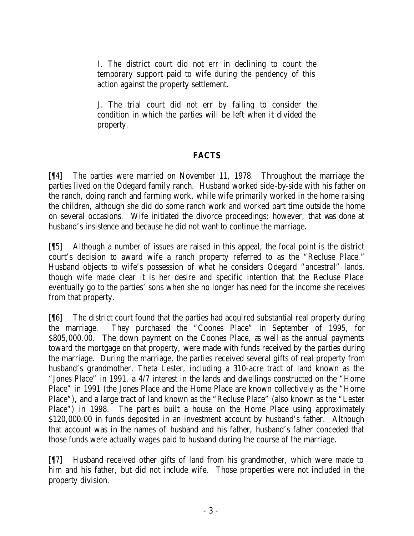I. The district court did not err in declining to count the temporary support paid to wife during the pendency of this action against the property settlement.

J. The trial court did not err by failing to consider the condition in which the parties will be left when it divided the property.

## **FACTS**

[¶4] The parties were married on November 11, 1978. Throughout the marriage the parties lived on the Odegard family ranch. Husband worked side-by-side with his father on the ranch, doing ranch and farming work, while wife primarily worked in the home raising the children, although she did do some ranch work and worked part time outside the home on several occasions. Wife initiated the divorce proceedings; however, that was done at husband's insistence and because he did not want to continue the marriage.

[¶5] Although a number of issues are raised in this appeal, the focal point is the district court's decision to award wife a ranch property referred to as the "Recluse Place." Husband objects to wife's possession of what he considers Odegard "ancestral" lands, though wife made clear it is her desire and specific intention that the Recluse Place eventually go to the parties' sons when she no longer has need for the income she receives from that property.

[¶6] The district court found that the parties had acquired substantial real property during the marriage. They purchased the "Coones Place" in September of 1995, for \$805,000.00. The down payment on the Coones Place, as well as the annual payments toward the mortgage on that property, were made with funds received by the parties during the marriage. During the marriage, the parties received several gifts of real property from husband's grandmother, Theta Lester, including a 310-acre tract of land known as the "Jones Place" in 1991, a 4/7 interest in the lands and dwellings constructed on the "Home Place" in 1991 (the Jones Place and the Home Place are known collectively as the "Home Place"), and a large tract of land known as the "Recluse Place" (also known as the "Lester Place") in 1998. The parties built a house on the Home Place using approximately \$120,000.00 in funds deposited in an investment account by husband's father. Although that account was in the names of husband and his father, husband's father conceded that those funds were actually wages paid to husband during the course of the marriage.

[¶7] Husband received other gifts of land from his grandmother, which were made to him and his father, but did not include wife. Those properties were not included in the property division.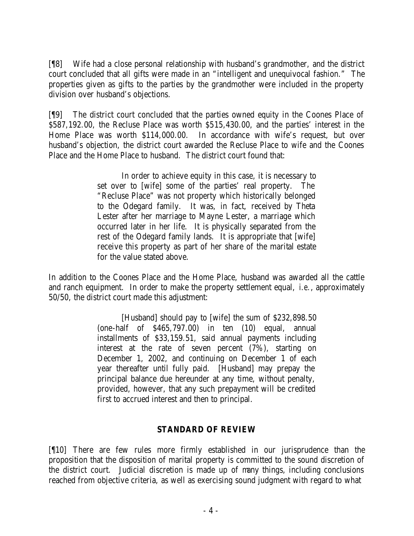[¶8] Wife had a close personal relationship with husband's grandmother, and the district court concluded that all gifts were made in an "intelligent and unequivocal fashion." The properties given as gifts to the parties by the grandmother were included in the property division over husband's objections.

[¶9] The district court concluded that the parties owned equity in the Coones Place of \$587,192.00, the Recluse Place was worth \$515,430.00, and the parties' interest in the Home Place was worth \$114,000.00. In accordance with wife's request, but over husband's objection, the district court awarded the Recluse Place to wife and the Coones Place and the Home Place to husband. The district court found that:

> In order to achieve equity in this case, it is necessary to set over to [wife] some of the parties' real property. The "Recluse Place" was not property which historically belonged to the Odegard family. It was, in fact, received by Theta Lester after her marriage to Mayne Lester, a marriage which occurred later in her life. It is physically separated from the rest of the Odegard family lands. It is appropriate that [wife] receive this property as part of her share of the marital estate for the value stated above.

In addition to the Coones Place and the Home Place, husband was awarded all the cattle and ranch equipment. In order to make the property settlement equal, *i.e.*, approximately 50/50, the district court made this adjustment:

> [Husband] should pay to [wife] the sum of \$232,898.50 (one-half of \$465,797.00) in ten (10) equal, annual installments of \$33,159.51, said annual payments including interest at the rate of seven percent (7%), starting on December 1, 2002, and continuing on December 1 of each year thereafter until fully paid. [Husband] may prepay the principal balance due hereunder at any time, without penalty, provided, however, that any such prepayment will be credited first to accrued interest and then to principal.

### **STANDARD OF REVIEW**

[¶10] There are few rules more firmly established in our jurisprudence than the proposition that the disposition of marital property is committed to the sound discretion of the district court. Judicial discretion is made up of many things, including conclusions reached from objective criteria, as well as exercising sound judgment with regard to what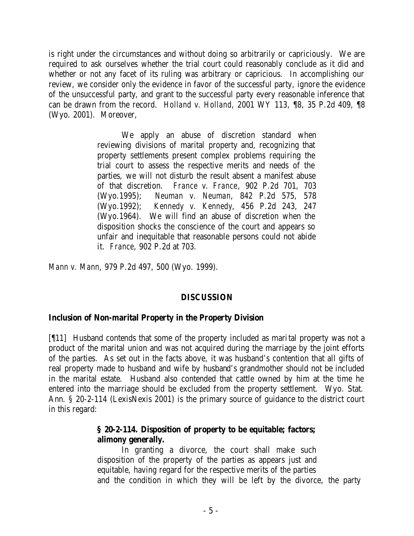is right under the circumstances and without doing so arbitrarily or capriciously. We are required to ask ourselves whether the trial court could reasonably conclude as it did and whether or not any facet of its ruling was arbitrary or capricious. In accomplishing our review, we consider only the evidence in favor of the successful party, ignore the evidence of the unsuccessful party, and grant to the successful party every reasonable inference that can be drawn from the record. *Holland v. Holland*, 2001 WY 113, ¶8, 35 P.2d 409, ¶8 (Wyo. 2001). Moreover,

> We apply an abuse of discretion standard when reviewing divisions of marital property and, recognizing that property settlements present complex problems requiring the trial court to assess the respective merits and needs of the parties, we will not disturb the result absent a manifest abuse of that discretion. *France v. France*, 902 P.2d 701, 703 (Wyo.1995); *Neuman v. Neuman*, 842 P.2d 575, 578 (Wyo.1992); *Kennedy v. Kennedy*, 456 P.2d 243, 247 (Wyo.1964). We will find an abuse of discretion when the disposition shocks the conscience of the court and appears so unfair and inequitable that reasonable persons could not abide it. *France*, 902 P.2d at 703.

*Mann v. Mann*, 979 P.2d 497, 500 (Wyo. 1999).

### **DISCUSSION**

### **Inclusion of Non-marital Property in the Property Division**

[¶11] Husband contends that some of the property included as marital property was not a product of the marital union and was not acquired during the marriage by the joint efforts of the parties. As set out in the facts above, it was husband's contention that all gifts of real property made to husband and wife by husband's grandmother should not be included in the marital estate. Husband also contended that cattle owned by him at the time he entered into the marriage should be excluded from the property settlement. Wyo. Stat. Ann. § 20-2-114 (LexisNexis 2001) is the primary source of guidance to the district court in this regard:

### **§ 20-2-114. Disposition of property to be equitable; factors; alimony generally.**

In granting a divorce, the court shall make such disposition of the property of the parties as appears just and equitable, having regard for the respective merits of the parties and the condition in which they will be left by the divorce, the party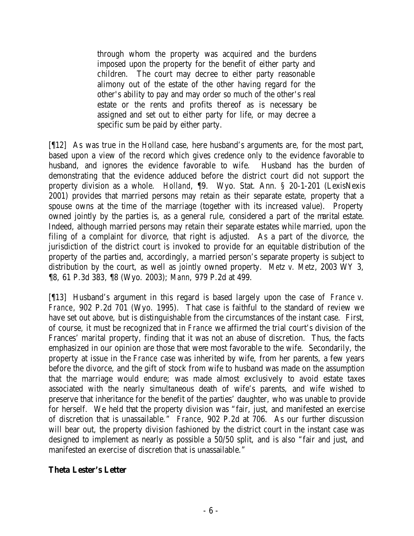through whom the property was acquired and the burdens imposed upon the property for the benefit of either party and children. The court may decree to either party reasonable alimony out of the estate of the other having regard for the other's ability to pay and may order so much of the other's real estate or the rents and profits thereof as is necessary be assigned and set out to either party for life, or may decree a specific sum be paid by either party.

[¶12] As was true in the *Holland* case, here husband's arguments are, for the most part, based upon a view of the record which gives credence only to the evidence favorable to husband, and ignores the evidence favorable to wife. Husband has the burden of demonstrating that the evidence adduced before the district court did not support the property division as a whole. *Holland*, ¶9. Wyo. Stat. Ann. § 20-1-201 (LexisNexis 2001) provides that married persons may retain as their separate estate, property that a spouse owns at the time of the marriage (together with its increased value). Property owned jointly by the parties is, as a general rule, considered a part of the marital estate. Indeed, although married persons may retain their separate estates while married, upon the filing of a complaint for divorce, that right is adjusted. As a part of the divorce, the jurisdiction of the district court is invoked to provide for an equitable distribution of the property of the parties and, accordingly, a married person's separate property is subject to distribution by the court, as well as jointly owned property. *Metz v. Metz*, 2003 WY 3, ¶8, 61 P.3d 383, ¶8 (Wyo. 2003); *Mann*, 979 P.2d at 499.

[¶13] Husband's argument in this regard is based largely upon the case of *France v. France*, 902 P.2d 701 (Wyo. 1995). That case is faithful to the standard of review we have set out above, but is distinguishable from the circumstances of the instant case. First, of course, it must be recognized that in *France* we affirmed the trial court's division of the Frances' marital property, finding that it was not an abuse of discretion. Thus, the facts emphasized in our opinion are those that were most favorable to the wife. Secondarily, the property at issue in the *France* case was inherited by wife, from her parents, a few years before the divorce, and the gift of stock from wife to husband was made on the assumption that the marriage would endure; was made almost exclusively to avoid estate taxes associated with the nearly simultaneous death of wife's parents, and wife wished to preserve that inheritance for the benefit of the parties' daughter, who was unable to provide for herself. We held that the property division was "fair, just, and manifested an exercise of discretion that is unassailable." *France*, 902 P.2d at 706. As our further discussion will bear out, the property division fashioned by the district court in the instant case was designed to implement as nearly as possible a 50/50 split, and is also "fair and just, and manifested an exercise of discretion that is unassailable."

### **Theta Lester's Letter**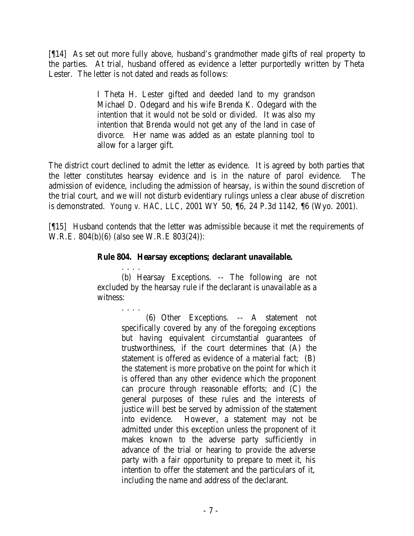[¶14] As set out more fully above, husband's grandmother made gifts of real property to the parties. At trial, husband offered as evidence a letter purportedly written by Theta Lester. The letter is not dated and reads as follows:

> I Theta H. Lester gifted and deeded land to my grandson Michael D. Odegard and his wife Brenda K. Odegard with the intention that it would not be sold or divided. It was also my intention that Brenda would not get any of the land in case of divorce. Her name was added as an estate planning tool to allow for a larger gift.

The district court declined to admit the letter as evidence. It is agreed by both parties that the letter constitutes hearsay evidence and is in the nature of parol evidence. The admission of evidence, including the admission of hearsay, is within the sound discretion of the trial court, and we will not disturb evidentiary rulings unless a clear abuse of discretion is demonstrated. *Young v. HAC, LLC*, 2001 WY 50, ¶6, 24 P.3d 1142, ¶6 (Wyo. 2001).

[¶15] Husband contends that the letter was admissible because it met the requirements of W.R.E. 804(b)(6) (also see W.R.E 803(24)):

### **Rule 804. Hearsay exceptions; declarant unavailable.**

. . . .

. . . . (b) Hearsay Exceptions. -- The following are not excluded by the hearsay rule if the declarant is unavailable as a witness:

> (6) Other Exceptions. -- A statement not specifically covered by any of the foregoing exceptions but having equivalent circumstantial guarantees of trustworthiness, if the court determines that (A) the statement is offered as evidence of a material fact; (B) the statement is more probative on the point for which it is offered than any other evidence which the proponent can procure through reasonable efforts; and (C) the general purposes of these rules and the interests of justice will best be served by admission of the statement into evidence. However, a statement may not be admitted under this exception unless the proponent of it makes known to the adverse party sufficiently in advance of the trial or hearing to provide the adverse party with a fair opportunity to prepare to meet it, his intention to offer the statement and the particulars of it, including the name and address of the declarant.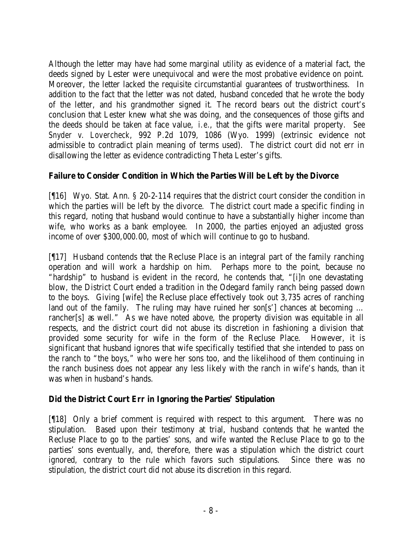Although the letter may have had some marginal utility as evidence of a material fact, the deeds signed by Lester were unequivocal and were the most probative evidence on point. Moreover, the letter lacked the requisite circumstantial guarantees of trustworthiness. In addition to the fact that the letter was not dated, husband conceded that he wrote the body of the letter, and his grandmother signed it. The record bears out the district court's conclusion that Lester knew what she was doing, and the consequences of those gifts and the deeds should be taken at face value, *i.e.*, that the gifts were marital property. *See Snyder v. Lovercheck*, 992 P.2d 1079, 1086 (Wyo. 1999) (extrinsic evidence not admissible to contradict plain meaning of terms used). The district court did not err in disallowing the letter as evidence contradicting Theta Lester's gifts.

# **Failure to Consider Condition in Which the Parties Will be Left by the Divorce**

[¶16] Wyo. Stat. Ann. § 20-2-114 requires that the district court consider the condition in which the parties will be left by the divorce. The district court made a specific finding in this regard, noting that husband would continue to have a substantially higher income than wife, who works as a bank employee. In 2000, the parties enjoyed an adjusted gross income of over \$300,000.00, most of which will continue to go to husband.

[¶17] Husband contends that the Recluse Place is an integral part of the family ranching operation and will work a hardship on him. Perhaps more to the point, because no "hardship" to husband is evident in the record, he contends that, "[i]n one devastating blow, the District Court ended a tradition in the Odegard family ranch being passed down to the boys. Giving [wife] the Recluse place effectively took out 3,735 acres of ranching land out of the family. The ruling may have ruined her son[s'] chances at becoming ... rancher<sup>[s]</sup> as well." As we have noted above, the property division was equitable in all respects, and the district court did not abuse its discretion in fashioning a division that provided some security for wife in the form of the Recluse Place. However, it is significant that husband ignores that wife specifically testified that she intended to pass on the ranch to "the boys," who were her sons too, and the likelihood of them continuing in the ranch business does not appear any less likely with the ranch in wife's hands, than it was when in husband's hands.

# **Did the District Court Err in Ignoring the Parties' Stipulation**

[¶18] Only a brief comment is required with respect to this argument. There was no stipulation. Based upon their testimony at trial, husband contends that he wanted the Recluse Place to go to the parties' sons, and wife wanted the Recluse Place to go to the parties' sons eventually, and, therefore, there was a stipulation which the district court ignored, contrary to the rule which favors such stipulations. Since there was no stipulation, the district court did not abuse its discretion in this regard.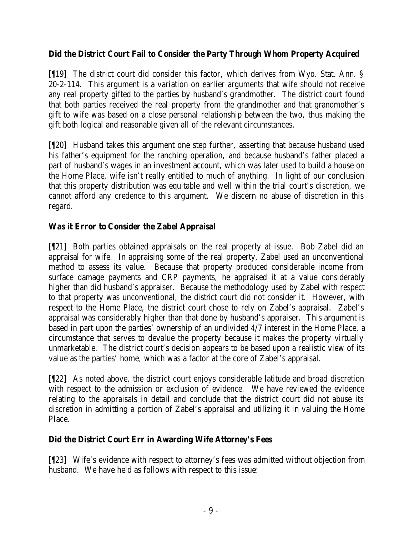## **Did the District Court Fail to Consider the Party Through Whom Property Acquired**

[¶19] The district court did consider this factor, which derives from Wyo. Stat. Ann. § 20-2-114. This argument is a variation on earlier arguments that wife should not receive any real property gifted to the parties by husband's grandmother. The district court found that both parties received the real property from the grandmother and that grandmother's gift to wife was based on a close personal relationship between the two, thus making the gift both logical and reasonable given all of the relevant circumstances.

[¶20] Husband takes this argument one step further, asserting that because husband used his father's equipment for the ranching operation, and because husband's father placed a part of husband's wages in an investment account, which was later used to build a house on the Home Place, wife isn't really entitled to much of anything. In light of our conclusion that this property distribution was equitable and well within the trial court's discretion, we cannot afford any credence to this argument. We discern no abuse of discretion in this regard.

# **Was it Error to Consider the Zabel Appraisal**

[¶21] Both parties obtained appraisals on the real property at issue. Bob Zabel did an appraisal for wife. In appraising some of the real property, Zabel used an unconventional method to assess its value. Because that property produced considerable income from surface damage payments and CRP payments, he appraised it at a value considerably higher than did husband's appraiser. Because the methodology used by Zabel with respect to that property was unconventional, the district court did not consider it. However, with respect to the Home Place, the district court chose to rely on Zabel's appraisal. Zabel's appraisal was considerably higher than that done by husband's appraiser. This argument is based in part upon the parties' ownership of an undivided 4/7 interest in the Home Place, a circumstance that serves to devalue the property because it makes the property virtually unmarketable. The district court's decision appears to be based upon a realistic view of its value as the parties' home, which was a factor at the core of Zabel's appraisal.

[¶22] As noted above, the district court enjoys considerable latitude and broad discretion with respect to the admission or exclusion of evidence. We have reviewed the evidence relating to the appraisals in detail and conclude that the district court did not abuse its discretion in admitting a portion of Zabel's appraisal and utilizing it in valuing the Home Place.

# **Did the District Court Err in Awarding Wife Attorney's Fees**

[¶23] Wife's evidence with respect to attorney's fees was admitted without objection from husband. We have held as follows with respect to this issue: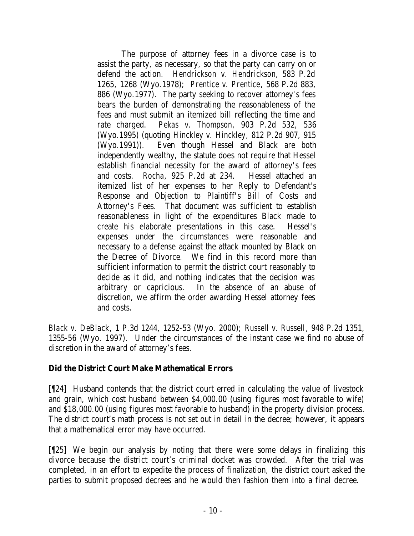The purpose of attorney fees in a divorce case is to assist the party, as necessary, so that the party can carry on or defend the action. *Hendrickson v. Hendrickson*, 583 P.2d 1265, 1268 (Wyo.1978); *Prentice v. Prentice*, 568 P.2d 883, 886 (Wyo.1977). The party seeking to recover attorney's fees bears the burden of demonstrating the reasonableness of the fees and must submit an itemized bill reflecting the time and rate charged. *Pekas v. Thompson*, 903 P.2d 532, 536 (Wyo.1995) (quoting *Hinckley v. Hinckley*, 812 P.2d 907, 915 (Wyo.1991)). Even though Hessel and Black are both independently wealthy, the statute does not require that Hessel establish financial necessity for the award of attorney's fees and costs. *Rocha*, 925 P.2d at 234. Hessel attached an itemized list of her expenses to her Reply to Defendant's Response and Objection to Plaintiff's Bill of Costs and Attorney's Fees. That document was sufficient to establish reasonableness in light of the expenditures Black made to create his elaborate presentations in this case. Hessel's expenses under the circumstances were reasonable and necessary to a defense against the attack mounted by Black on the Decree of Divorce. We find in this record more than sufficient information to permit the district court reasonably to decide as it did, and nothing indicates that the decision was arbitrary or capricious. In the absence of an abuse of discretion, we affirm the order awarding Hessel attorney fees and costs.

*Black v. DeBlack*, 1 P.3d 1244, 1252-53 (Wyo. 2000); *Russell v. Russell*, 948 P.2d 1351, 1355-56 (Wyo. 1997). Under the circumstances of the instant case we find no abuse of discretion in the award of attorney's fees.

### **Did the District Court Make Mathematical Errors**

[¶24] Husband contends that the district court erred in calculating the value of livestock and grain, which cost husband between \$4,000.00 (using figures most favorable to wife) and \$18,000.00 (using figures most favorable to husband) in the property division process. The district court's math process is not set out in detail in the decree; however, it appears that a mathematical error may have occurred.

[¶25] We begin our analysis by noting that there were some delays in finalizing this divorce because the district court's criminal docket was crowded. After the trial was completed, in an effort to expedite the process of finalization, the district court asked the parties to submit proposed decrees and he would then fashion them into a final decree.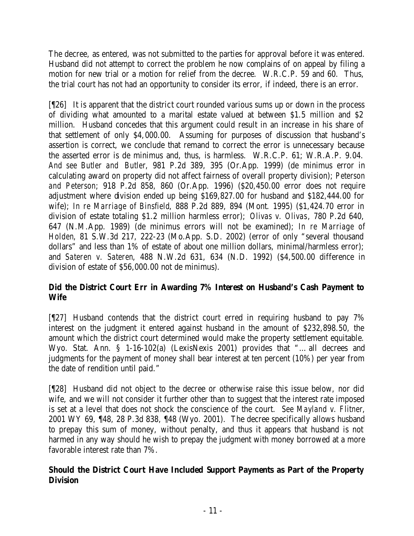The decree, as entered, was not submitted to the parties for approval before it was entered. Husband did not attempt to correct the problem he now complains of on appeal by filing a motion for new trial or a motion for relief from the decree. W.R.C.P. 59 and 60. Thus, the trial court has not had an opportunity to consider its error, if indeed, there is an error.

[¶26] It is apparent that the district court rounded various sums up or down in the process of dividing what amounted to a marital estate valued at between \$1.5 million and \$2 million. Husband concedes that this argument could result in an increase in his share of that settlement of only \$4,000.00. Assuming for purposes of discussion that husband's assertion is correct, we conclude that remand to correct the error is unnecessary because the asserted error is de minimus and, thus, is harmless. W.R.C.P. 61; W.R.A.P. 9.04. *And see Butler and Butler*, 981 P.2d 389, 395 (Or.App. 1999) (de minimus error in calculating award on property did not affect fairness of overall property division); *Peterson and Peterson*; 918 P.2d 858, 860 (Or.App. 1996) (\$20,450.00 error does not require adjustment where division ended up being \$169,827.00 for husband and \$182,444.00 for wife); *In re Marriage of Binsfield*, 888 P.2d 889, 894 (Mont. 1995) (\$1,424.70 error in division of estate totaling \$1.2 million harmless error); *Olivas v. Olivas*, 780 P.2d 640, 647 (N.M.App. 1989) (de minimus errors will not be examined); *In re Marriage of Holden*, 81 S.W.3d 217, 222-23 (Mo.App. S.D. 2002) (error of only "several thousand dollars" and less than 1% of estate of about one million dollars, minimal/harmless error); and *Sateren v. Sateren*, 488 N.W.2d 631, 634 (N.D. 1992) (\$4,500.00 difference in division of estate of \$56,000.00 not de minimus).

# **Did the District Court Err in Awarding 7% Interest on Husband's Cash Payment to Wife**

[¶27] Husband contends that the district court erred in requiring husband to pay 7% interest on the judgment it entered against husband in the amount of \$232,898.50, the amount which the district court determined would make the property settlement equitable. Wyo. Stat. Ann. § 1-16-102(a) (LexisNexis 2001) provides that "… all decrees and judgments for the payment of money shall bear interest at ten percent (10%) per year from the date of rendition until paid."

[¶28] Husband did not object to the decree or otherwise raise this issue below, nor did wife, and we will not consider it further other than to suggest that the interest rate imposed is set at a level that does not shock the conscience of the court. *See Mayland v. Flitner*, 2001 WY 69, ¶48, 28 P.3d 838, ¶48 (Wyo. 2001). The decree specifically allows husband to prepay this sum of money, without penalty, and thus it appears that husband is not harmed in any way should he wish to prepay the judgment with money borrowed at a more favorable interest rate than 7%.

# **Should the District Court Have Included Support Payments as Part of the Property Division**